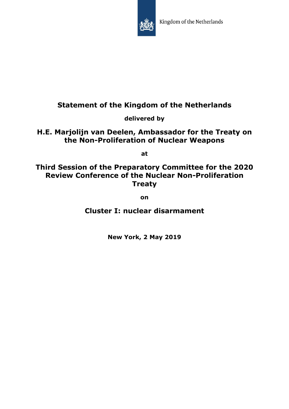

# **Statement of the Kingdom of the Netherlands**

**delivered by**

**H.E. Marjolijn van Deelen, Ambassador for the Treaty on the Non-Proliferation of Nuclear Weapons**

**at**

## **Third Session of the Preparatory Committee for the 2020 Review Conference of the Nuclear Non-Proliferation Treaty**

**on**

**Cluster I: nuclear disarmament**

**New York, 2 May 2019**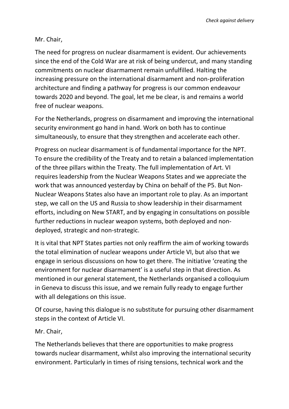#### Mr. Chair,

The need for progress on nuclear disarmament is evident. Our achievements since the end of the Cold War are at risk of being undercut, and many standing commitments on nuclear disarmament remain unfulfilled. Halting the increasing pressure on the international disarmament and non-proliferation architecture and finding a pathway for progress is our common endeavour towards 2020 and beyond. The goal, let me be clear, is and remains a world free of nuclear weapons.

For the Netherlands, progress on disarmament and improving the international security environment go hand in hand. Work on both has to continue simultaneously, to ensure that they strengthen and accelerate each other.

Progress on nuclear disarmament is of fundamental importance for the NPT. To ensure the credibility of the Treaty and to retain a balanced implementation of the three pillars within the Treaty. The full implementation of Art. VI requires leadership from the Nuclear Weapons States and we appreciate the work that was announced yesterday by China on behalf of the P5. But Non-Nuclear Weapons States also have an important role to play. As an important step, we call on the US and Russia to show leadership in their disarmament efforts, including on New START, and by engaging in consultations on possible further reductions in nuclear weapon systems, both deployed and nondeployed, strategic and non-strategic.

It is vital that NPT States parties not only reaffirm the aim of working towards the total elimination of nuclear weapons under Article VI, but also that we engage in serious discussions on how to get there. The initiative 'creating the environment for nuclear disarmament' is a useful step in that direction. As mentioned in our general statement, the Netherlands organised a colloquium in Geneva to discuss this issue, and we remain fully ready to engage further with all delegations on this issue.

Of course, having this dialogue is no substitute for pursuing other disarmament steps in the context of Article VI.

Mr. Chair,

The Netherlands believes that there are opportunities to make progress towards nuclear disarmament, whilst also improving the international security environment. Particularly in times of rising tensions, technical work and the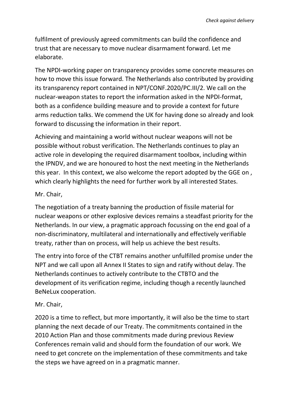fulfilment of previously agreed commitments can build the confidence and trust that are necessary to move nuclear disarmament forward. Let me elaborate.

The NPDI-working paper on transparency provides some concrete measures on how to move this issue forward. The Netherlands also contributed by providing its transparency report contained in NPT/CONF.2020/PC.III/2. We call on the nuclear-weapon states to report the information asked in the NPDI-format, both as a confidence building measure and to provide a context for future arms reduction talks. We commend the UK for having done so already and look forward to discussing the information in their report.

Achieving and maintaining a world without nuclear weapons will not be possible without robust verification. The Netherlands continues to play an active role in developing the required disarmament toolbox, including within the IPNDV, and we are honoured to host the next meeting in the Netherlands this year. In this context, we also welcome the report adopted by the GGE on , which clearly highlights the need for further work by all interested States.

#### Mr. Chair,

The negotiation of a treaty banning the production of fissile material for nuclear weapons or other explosive devices remains a steadfast priority for the Netherlands. In our view, a pragmatic approach focussing on the end goal of a non-discriminatory, multilateral and internationally and effectively verifiable treaty, rather than on process, will help us achieve the best results.

The entry into force of the CTBT remains another unfulfilled promise under the NPT and we call upon all Annex II States to sign and ratify without delay. The Netherlands continues to actively contribute to the CTBTO and the development of its verification regime, including though a recently launched BeNeLux cooperation.

### Mr. Chair,

2020 is a time to reflect, but more importantly, it will also be the time to start planning the next decade of our Treaty. The commitments contained in the 2010 Action Plan and those commitments made during previous Review Conferences remain valid and should form the foundation of our work. We need to get concrete on the implementation of these commitments and take the steps we have agreed on in a pragmatic manner.